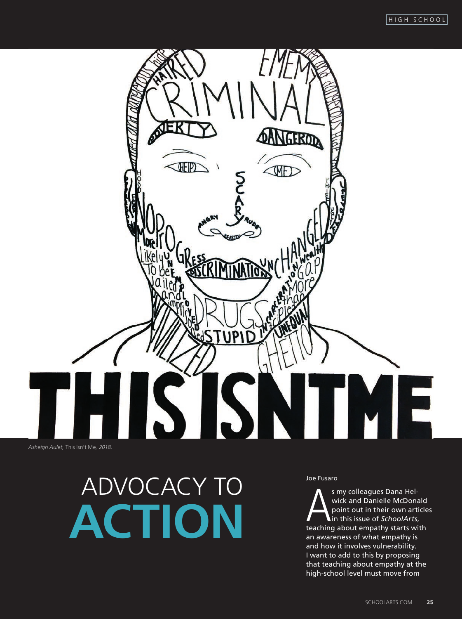# GEROD GEIP  $\triangle$ MF) **ARY** TME *Asheigh Aulet,* This Isn't Me*, 2018.*

## ADVOCACY TO MASS TO A S FUSARO **ACTION**

s my colleagues Dana Hel-<br>wick and Danielle McDonald<br>point out in their own article<br>teaching about empathy starts with s my colleagues Dana Helwick and Danielle McDonald point out in their own articles in this issue of *SchoolArts*, an awareness of what empathy is and how it involves vulnerability. I want to add to this by proposing that teaching about empathy at the high-school level must move from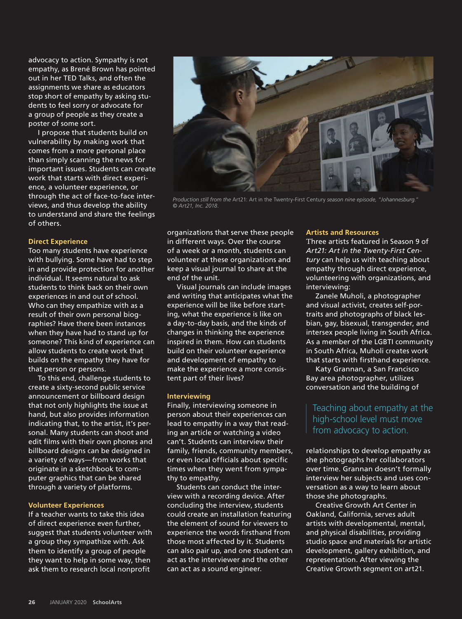advocacy to action. Sympathy is not empathy, as Brené Brown has pointed out in her TED Talks, and often the assignments we share as educators stop short of empathy by asking students to feel sorry or advocate for a group of people as they create a poster of some sort.

I propose that students build on vulnerability by making work that comes from a more personal place than simply scanning the news for important issues. Students can create work that starts with direct experience, a volunteer experience, or through the act of face-to-face interviews, and thus develop the ability to understand and share the feelings of others.

#### **Direct Experience**

Too many students have experience with bullying. Some have had to step in and provide protection for another individual. It seems natural to ask students to think back on their own experiences in and out of school. Who can they empathize with as a result of their own personal biographies? Have there been instances when they have had to stand up for someone? This kind of experience can allow students to create work that builds on the empathy they have for that person or persons.

To this end, challenge students to create a sixty-second public service announcement or billboard design that not only highlights the issue at hand, but also provides information indicating that, to the artist, it's personal. Many students can shoot and edit films with their own phones and billboard designs can be designed in a variety of ways—from works that originate in a sketchbook to computer graphics that can be shared through a variety of platforms.

#### **Volunteer Experiences**

If a teacher wants to take this idea of direct experience even further, suggest that students volunteer with a group they sympathize with. Ask them to identify a group of people they want to help in some way, then ask them to research local nonprofit



*Production still from the* Art21: Art in the Twentry-First Century *season nine episode,* "*Johannesburg.*" *© Art21, Inc. 2018.* 

organizations that serve these people in different ways. Over the course of a week or a month, students can volunteer at these organizations and keep a visual journal to share at the end of the unit.

Visual journals can include images and writing that anticipates what the experience will be like before starting, what the experience is like on a day-to-day basis, and the kinds of changes in thinking the experience inspired in them. How can students build on their volunteer experience and development of empathy to make the experience a more consistent part of their lives?

#### **Interviewing**

Finally, interviewing someone in person about their experiences can lead to empathy in a way that reading an article or watching a video can't. Students can interview their family, friends, community members, or even local officials about specific times when they went from sympathy to empathy.

Students can conduct the interview with a recording device. After concluding the interview, students could create an installation featuring the element of sound for viewers to experience the words firsthand from those most affected by it. Students can also pair up, and one student can act as the interviewer and the other can act as a sound engineer.

#### **Artists and Resources**

Three artists featured in Season 9 of *Art21: Art in the Twenty-First Century* can help us with teaching about empathy through direct experience, volunteering with organizations, and interviewing:

Zanele Muholi, a photographer and visual activist, creates self-portraits and photographs of black lesbian, gay, bisexual, transgender, and intersex people living in South Africa. As a member of the LGBTI community in South Africa, Muholi creates work that starts with firsthand experience.

Katy Grannan, a San Francisco Bay area photographer, utilizes conversation and the building of

### Teaching about empathy at the high-school level must move from advocacy to action.

relationships to develop empathy as she photographs her collaborators over time. Grannan doesn't formally interview her subjects and uses conversation as a way to learn about those she photographs.

Creative Growth Art Center in Oakland, California, serves adult artists with developmental, mental, and physical disabilities, providing studio space and materials for artistic development, gallery exhibition, and representation. After viewing the Creative Growth segment on art21.